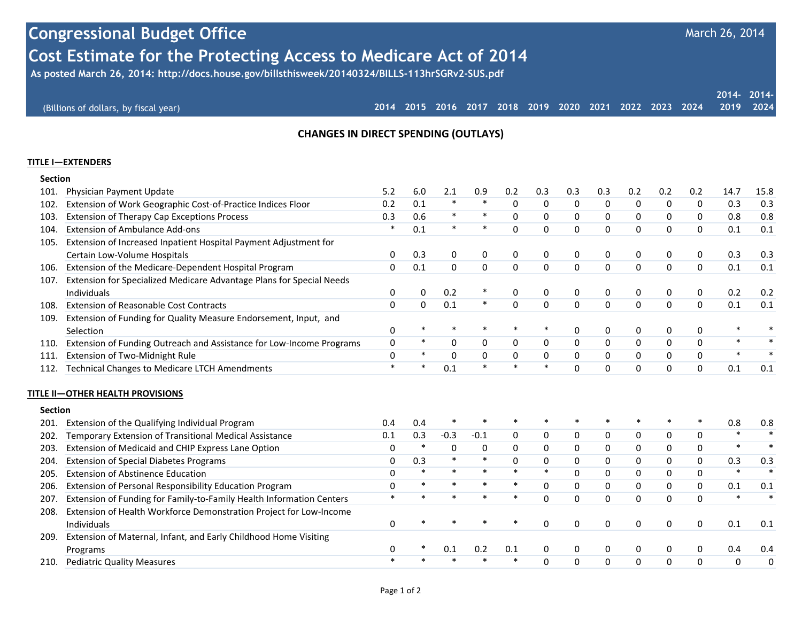# **Congressional Budget Office Cost Estimate for the Protecting Access to Medicare Act of 2014**

 **As posted March 26, 2014: http://docs.house.gov/billsthisweek/20140324/BILLS-113hrSGRv2-SUS.pdf**

|                                       |  |  |  |  |  |                                                                  | 2014-2014- |
|---------------------------------------|--|--|--|--|--|------------------------------------------------------------------|------------|
| (Billions of dollars, by fiscal year) |  |  |  |  |  | 2014 2015 2016 2017 2018 2019 2020 2021 2022 2023 2024 2019 2024 |            |

March 26, 2014

### **CHANGES IN DIRECT SPENDING (OUTLAYS)**

#### **TITLE I—EXTENDERS**

| <b>Section</b> |                                                                      |          |                |             |             |             |              |              |             |          |                |             |        |        |
|----------------|----------------------------------------------------------------------|----------|----------------|-------------|-------------|-------------|--------------|--------------|-------------|----------|----------------|-------------|--------|--------|
| 101.           | Physician Payment Update                                             | 5.2      | 6.0            | 2.1         | 0.9         | 0.2         | 0.3          | 0.3          | 0.3         | 0.2      | 0.2            | 0.2         | 14.7   | 15.8   |
| 102.           | Extension of Work Geographic Cost-of-Practice Indices Floor          | 0.2      | 0.1            | $\ast$      | $\ast$      | $\mathbf 0$ | $\mathbf 0$  | $\mathbf 0$  | $\mathbf 0$ | 0        | 0              | $\mathbf 0$ | 0.3    | 0.3    |
| 103.           | <b>Extension of Therapy Cap Exceptions Process</b>                   | 0.3      | 0.6            | $\ast$      | $\ast$      | $\mathbf 0$ | $\Omega$     | $\mathbf 0$  | 0           | 0        | 0              | 0           | 0.8    | 0.8    |
| 104.           | <b>Extension of Ambulance Add-ons</b>                                | *        | 0.1            | $\ast$      | $\ast$      | $\mathbf 0$ | $\Omega$     | $\mathbf{0}$ | $\mathbf 0$ | 0        | 0              | $\Omega$    | 0.1    | 0.1    |
| 105.           | Extension of Increased Inpatient Hospital Payment Adjustment for     |          |                |             |             |             |              |              |             |          |                |             |        |        |
|                | Certain Low-Volume Hospitals                                         | 0        | 0.3            | 0           | 0           | 0           | 0            | 0            | 0           | 0        | 0              | 0           | 0.3    | 0.3    |
| 106.           | Extension of the Medicare-Dependent Hospital Program                 | $\Omega$ | 0.1            | $\Omega$    | $\Omega$    | $\Omega$    | $\Omega$     | $\Omega$     | $\Omega$    | $\Omega$ | $\overline{0}$ | $\Omega$    | 0.1    | 0.1    |
| 107.           | Extension for Specialized Medicare Advantage Plans for Special Needs |          |                |             |             |             |              |              |             |          |                |             |        |        |
|                | Individuals                                                          | 0        | 0              | 0.2         |             | 0           | 0            | 0            | 0           | 0        | 0              | 0           | 0.2    | 0.2    |
| 108.           | Extension of Reasonable Cost Contracts                               | $\Omega$ | $\overline{0}$ | 0.1         | $\ast$      | $\mathbf 0$ | $\Omega$     | $\Omega$     | $\Omega$    | $\Omega$ | 0              | $\Omega$    | 0.1    | 0.1    |
| 109.           | Extension of Funding for Quality Measure Endorsement, Input, and     |          |                |             |             |             |              |              |             |          |                |             |        |        |
|                | Selection                                                            | 0        | $\ast$         | $\ast$      | $\ast$      | $\ast$      | $\ast$       | 0            | 0           | 0        | 0              | 0           | $\ast$ |        |
| 110.           | Extension of Funding Outreach and Assistance for Low-Income Programs | 0        | $\ast$         | $\mathbf 0$ | $\mathbf 0$ | $\mathbf 0$ | $\mathbf 0$  | $\mathbf 0$  | 0           | 0        | 0              | $\Omega$    | $\ast$ |        |
| 111            | Extension of Two-Midnight Rule                                       | 0        | $\ast$         | $\mathbf 0$ | $\Omega$    | $\mathbf 0$ | $\mathbf{0}$ | $\mathbf 0$  | $\mathbf 0$ | 0        | 0              | $\Omega$    | $\ast$ | $\ast$ |
| 112.           | <b>Technical Changes to Medicare LTCH Amendments</b>                 | $\ast$   | $\ast$         | 0.1         | $\ast$      | $\ast$      | $\ast$       | $\Omega$     | $\Omega$    | 0        | 0              | $\Omega$    | 0.1    | 0.1    |
| <b>Section</b> | TITLE II—OTHER HEALTH PROVISIONS                                     |          |                |             |             |             |              |              |             |          |                |             |        |        |
| 201.           | Extension of the Qualifying Individual Program                       | 0.4      | 0.4            |             |             |             |              |              |             |          |                |             | 0.8    | 0.8    |
| 202.           | Temporary Extension of Transitional Medical Assistance               | 0.1      | 0.3            | $-0.3$      | $-0.1$      | 0           | 0            | 0            | 0           | 0        | 0              | 0           | $\ast$ | $\ast$ |
| 203.           | Extension of Medicaid and CHIP Express Lane Option                   | 0        | $\ast$         | $\pmb{0}$   | 0           | $\mathbf 0$ | $\mathbf 0$  | 0            | 0           | 0        | 0              | $\Omega$    | $\ast$ | $\ast$ |
| 204.           | <b>Extension of Special Diabetes Programs</b>                        | 0        | 0.3            | $\ast$      | $\ast$      | $\mathbf 0$ | $\Omega$     | $\mathbf 0$  | $\mathbf 0$ | 0        | 0              | $\Omega$    | 0.3    | 0.3    |
| 205.           | <b>Extension of Abstinence Education</b>                             | 0        | $\ast$         | $\ast$      | $\ast$      | $\ast$      | $\ast$       | $\Omega$     | 0           | 0        | 0              | $\Omega$    | $\ast$ | $\ast$ |
| 206.           | Extension of Personal Responsibility Education Program               | $\Omega$ | $\ast$         | $\ast$      | $\ast$      | $\ast$      | $\Omega$     | $\Omega$     | 0           | $\Omega$ | 0              | $\Omega$    | 0.1    | 0.1    |
| 207.           | Extension of Funding for Family-to-Family Health Information Centers | $\ast$   | $\ast$         | $\ast$      |             | $\ast$      | $\Omega$     | $\Omega$     | $\Omega$    | $\Omega$ | 0              | $\Omega$    | $\ast$ |        |
| 208.           | Extension of Health Workforce Demonstration Project for Low-Income   |          |                |             |             |             |              |              |             |          |                |             |        |        |
|                | Individuals                                                          | $\Omega$ |                |             |             |             | $\Omega$     | 0            | 0           | 0        | 0              | 0           | 0.1    | 0.1    |
| 209.           | Extension of Maternal, Infant, and Early Childhood Home Visiting     |          |                |             |             |             |              |              |             |          |                |             |        |        |
|                | Programs                                                             | 0        |                | 0.1         | 0.2         | 0.1         | 0            | 0            | 0           | 0        | 0              | 0           | 0.4    | 0.4    |
| 210.           | <b>Pediatric Quality Measures</b>                                    |          |                |             |             | $\ast$      | $\Omega$     | $\Omega$     | $\Omega$    | $\Omega$ | 0              | $\Omega$    | 0      | 0      |